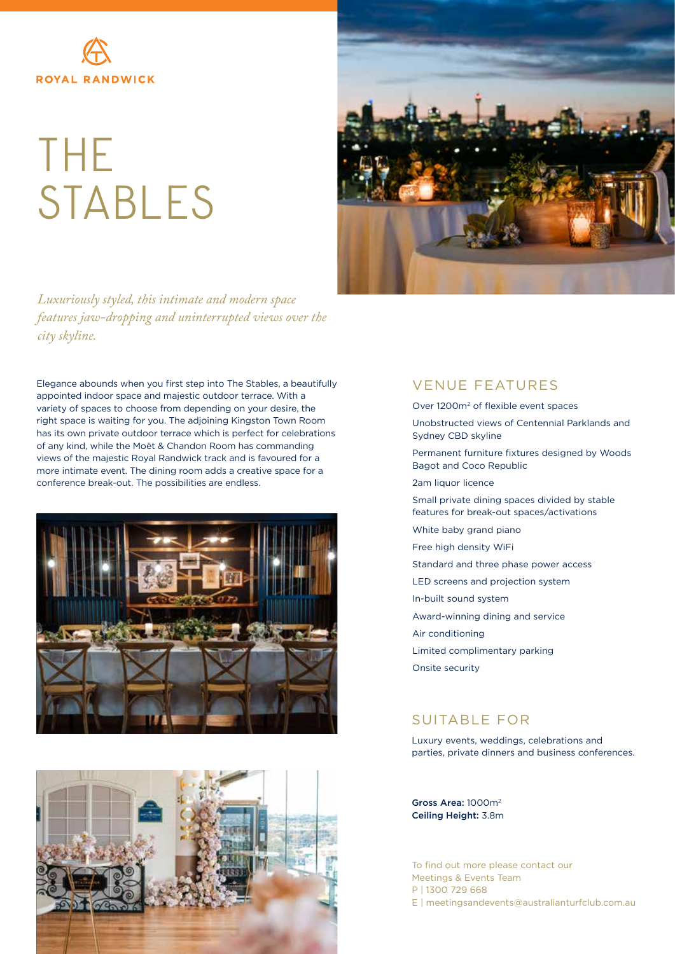

## THE STABLES



*Luxuriously styled, this intimate and modern space features jaw-dropping and uninterrupted views over the city skyline.*

Elegance abounds when you first step into The Stables, a beautifully appointed indoor space and majestic outdoor terrace. With a variety of spaces to choose from depending on your desire, the right space is waiting for you. The adjoining Kingston Town Room has its own private outdoor terrace which is perfect for celebrations of any kind, while the Moët & Chandon Room has commanding views of the majestic Royal Randwick track and is favoured for a more intimate event. The dining room adds a creative space for a conference break-out. The possibilities are endless.





## VENUE FEATURES

Over 1200m2 of flexible event spaces

- Unobstructed views of Centennial Parklands and Sydney CBD skyline
- Permanent furniture fixtures designed by Woods Bagot and Coco Republic
- 2am liquor licence
- Small private dining spaces divided by stable features for break-out spaces/activations
- White baby grand piano
- Free high density WiFi
- Standard and three phase power access
- LED screens and projection system
- In-built sound system
- Award-winning dining and service
- Air conditioning
- Limited complimentary parking
- Onsite security

## SUITABLE FOR

Luxury events, weddings, celebrations and parties, private dinners and business conferences.

Gross Area: 1000m2 Ceiling Height: 3.8m

To find out more please contact our Meetings & Events Team P | 1300 729 668 E | meetingsandevents@australianturfclub.com.au